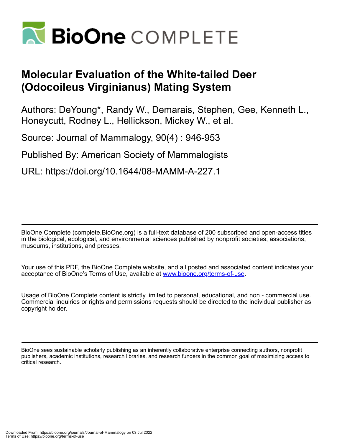

# **Molecular Evaluation of the White-tailed Deer (Odocoileus Virginianus) Mating System**

Authors: DeYoung\*, Randy W., Demarais, Stephen, Gee, Kenneth L., Honeycutt, Rodney L., Hellickson, Mickey W., et al.

Source: Journal of Mammalogy, 90(4) : 946-953

Published By: American Society of Mammalogists

URL: https://doi.org/10.1644/08-MAMM-A-227.1

BioOne Complete (complete.BioOne.org) is a full-text database of 200 subscribed and open-access titles in the biological, ecological, and environmental sciences published by nonprofit societies, associations, museums, institutions, and presses.

Your use of this PDF, the BioOne Complete website, and all posted and associated content indicates your acceptance of BioOne's Terms of Use, available at www.bioone.org/terms-of-use.

Usage of BioOne Complete content is strictly limited to personal, educational, and non - commercial use. Commercial inquiries or rights and permissions requests should be directed to the individual publisher as copyright holder.

BioOne sees sustainable scholarly publishing as an inherently collaborative enterprise connecting authors, nonprofit publishers, academic institutions, research libraries, and research funders in the common goal of maximizing access to critical research.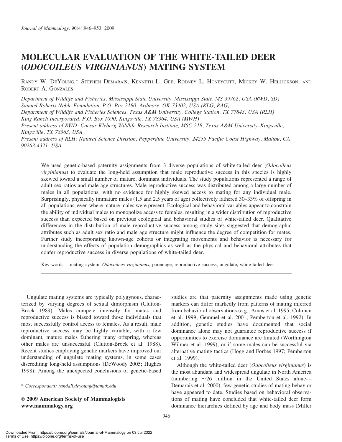# MOLECULAR EVALUATION OF THE WHITE-TAILED DEER (ODOCOILEUS VIRGINIANUS) MATING SYSTEM

RANDY W. DEYOUNG,\* STEPHEN DEMARAIS, KENNETH L. GEE, RODNEY L. HONEYCUTT, MICKEY W. HELLICKSON, AND ROBERT A. GONZALES

Department of Wildlife and Fisheries, Mississippi State University, Mississippi State, MS 39762, USA (RWD, SD) Samuel Roberts Noble Foundation, P.O. Box 2180, Ardmore, OK 73402, USA (KLG, RAG) Department of Wildlife and Fisheries Sciences, Texas A&M University, College Station, TX 77843, USA (RLH) King Ranch Incorporated, P.O. Box 1090, Kingsville, TX 78364, USA (MWH) Present address of RWD: Caesar Kleberg Wildlife Research Institute, MSC 218, Texas A&M University–Kingsville, Kingsville, TX 78363, USA

Present address of RLH: Natural Science Division, Pepperdine University, 24255 Pacific Coast Highway, Malibu, CA 90263-4321, USA

We used genetic-based paternity assignments from 3 diverse populations of white-tailed deer (Odocoileus virginianus) to evaluate the long-held assumption that male reproductive success in this species is highly skewed toward a small number of mature, dominant individuals. The study populations represented a range of adult sex ratios and male age structures. Male reproductive success was distributed among a large number of males in all populations, with no evidence for highly skewed access to mating for any individual male. Surprisingly, physically immature males (1.5 and 2.5 years of age) collectively fathered 30–33% of offspring in all populations, even where mature males were present. Ecological and behavioral variables appear to constrain the ability of individual males to monopolize access to females, resulting in a wider distribution of reproductive success than expected based on previous ecological and behavioral studies of white-tailed deer. Qualitative differences in the distribution of male reproductive success among study sites suggested that demographic attributes such as adult sex ratio and male age structure might influence the degree of competition for mates. Further study incorporating known-age cohorts or integrating movements and behavior is necessary for understanding the effects of population demographics as well as the physical and behavioral attributes that confer reproductive success in diverse populations of white-tailed deer.

Key words: mating system, Odocoileus virginianus, parentage, reproductive success, ungulate, white-tailed deer

Ungulate mating systems are typically polygynous, characterized by varying degrees of sexual dimorphism (Clutton-Brock 1989). Males compete intensely for mates and reproductive success is biased toward those individuals that most successfully control access to females. As a result, male reproductive success may be highly variable, with a few dominant, mature males fathering many offspring, whereas other males are unsuccessful (Clutton-Brock et al. 1988). Recent studies employing genetic markers have improved our understanding of ungulate mating systems, in some cases discrediting long-held assumptions (DeWoody 2005; Hughes 1998). Among the unexpected conclusions of genetic-based

\* Correspondent: randall.deyoung@tamuk.edu

E 2009 American Society of Mammalogists www.mammalogy.org

studies are that paternity assignments made using genetic markers can differ markedly from patterns of mating inferred from behavioral observations (e.g., Amos et al. 1995; Coltman et al. 1999; Gemmel et al. 2001; Pemberton et al. 1992). In addition, genetic studies have documented that social dominance alone may not guarantee reproductive success if opportunities to exercise dominance are limited (Worthington Wilmer et al. 1999), or if some males can be successful via alternative mating tactics (Hogg and Forbes 1997; Pemberton et al. 1999).

Although the white-tailed deer (Odocoileus virginianus) is the most abundant and widespread ungulate in North America (numbering  $\sim$  26 million in the United States alone— Demarais et al. 2000), few genetic studies of mating behavior have appeared to date. Studies based on behavioral observations of mating have concluded that white-tailed deer form dominance hierarchies defined by age and body mass (Miller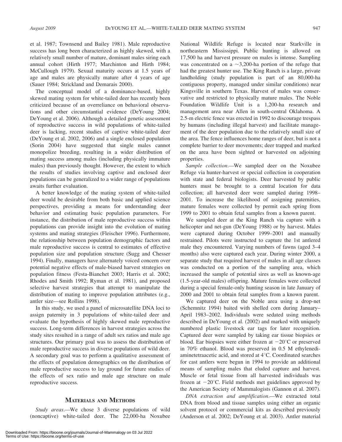et al. 1987; Townsend and Bailey 1981). Male reproductive success has long been characterized as highly skewed, with a relatively small number of mature, dominant males siring each annual cohort (Hirth 1977; Marchinton and Hirth 1984; McCullough 1979). Sexual maturity occurs at 1.5 years of age and males are physically mature after 4 years of age (Sauer 1984; Strickland and Demarais 2000).

The conceptual model of a dominance-based, highly skewed mating system for white-tailed deer has recently been criticized because of an overreliance on behavioral observations and other circumstantial evidence (DeYoung 2004; DeYoung et al. 2006). Although a detailed genetic assessment of reproductive success in wild populations of white-tailed deer is lacking, recent studies of captive white-tailed deer (DeYoung et al. 2002, 2006) and a single enclosed population (Sorin 2004) have suggested that single males cannot monopolize breeding, resulting in a wider distribution of mating success among males (including physically immature males) than previously thought. However, the extent to which the results of studies involving captive and enclosed deer populations can be generalized to a wider range of populations awaits further evaluation.

A better knowledge of the mating system of white-tailed deer would be desirable from both basic and applied science perspectives, providing a means for understanding deer behavior and estimating basic population parameters. For instance, the distribution of male reproductive success within populations can provide insight into the evolution of mating systems and mating strategies (Fleischer 1996). Furthermore, the relationship between population demographic factors and male reproductive success is central to estimates of effective population size and population structure (Sugg and Chesser 1994). Finally, managers have alternately voiced concern over potential negative effects of male-biased harvest strategies on population fitness (Festa-Bianchet 2003; Harris et al. 2002; Rhodes and Smith 1992; Ryman et al. 1981), and proposed selective harvest strategies that attempt to manipulate the distribution of mating to improve population attributes (e.g., antler size—see Rollins 1998).

In this study, we used a panel of microsatellite DNA loci to assign paternity in 3 populations of white-tailed deer and evaluate the hypothesis of highly skewed male reproductive success. Long-term differences in harvest strategies across the study sites resulted in a range of adult sex ratios and male age structures. Our primary goal was to assess the distribution of male reproductive success in diverse populations of wild deer. A secondary goal was to perform a qualitative assessment of the effects of population demographics on the distribution of male reproductive success to lay ground for future studies of the effects of sex ratio and male age structure on male reproductive success.

# MATERIALS AND METHODS

Study areas.—We chose 3 diverse populations of wild (noncaptive) white-tailed deer. The 22,000-ha Noxubee National Wildlife Refuge is located near Starkville in northeastern Mississippi. Public hunting is allowed on 17,500 ha and harvest pressure on males is intense. Sampling was concentrated on a  $\sim$ 3,200-ha portion of the refuge that had the greatest hunter use. The King Ranch is a large, private landholding (study population is part of an 80,000-ha contiguous property, managed under similar conditions) near Kingsville in southern Texas. Harvest of males was conservative and restricted to physically mature males. The Noble Foundation Wildlife Unit is a 1,200-ha research and management area near Allen in south-central Oklahoma. A 2.5-m electric fence was erected in 1992 to discourage trespass by humans (including illegal harvest) and facilitate management of the deer population due to the relatively small size of the area. The fence influences home ranges of deer, but is not a complete barrier to deer movements; deer trapped and marked on the area have been sighted or harvested on adjoining properties.

Sample collection.—We sampled deer on the Noxubee Refuge via hunter-harvest or special collection in cooperation with state and federal biologists. Deer harvested by public hunters must be brought to a central location for data collection; all harvested deer were sampled during 1998– 2001. To increase the likelihood of assigning paternities, mature females were collected by permit each spring from 1999 to 2001 to obtain fetal samples from a known parent.

We sampled deer at the King Ranch via capture with a helicopter and net-gun (DeYoung 1988) or by harvest. Males were captured during October 1999–2001 and manually restrained. Pilots were instructed to capture the 1st antlered male they encountered. Varying numbers of fawns (aged 3–4 months) also were captured each year. During winter 2000, a separate study that required harvest of males in all age classes was conducted on a portion of the sampling area, which increased the sample of potential sires as well as known-age (1.5-year-old males) offspring. Mature females were collected during a special female-only hunting season in late January of 2000 and 2001 to obtain fetal samples from a known parent.

We captured deer on the Noble area using a drop-net (Schemnitz 1994) baited with shelled corn during January– April 1983–2002. Individuals were sedated using methods described in DeYoung et al. (2002) and marked with uniquely numbered plastic livestock ear tags for later recognition. Captured deer were sampled by taking ear tissue biopsies or blood. Ear biopsies were either frozen at  $-20^{\circ}$ C or preserved in 70% ethanol. Blood was preserved in 0.5 M ethylenediaminetetraacetic acid, and stored at  $4^{\circ}$ C. Coordinated searches for cast antlers were begun in 1994 to provide an additional means of sampling males that eluded capture and harvest. Muscle or fetal tissue from all harvested individuals was frozen at  $-20^{\circ}$ C. Field methods met guidelines approved by the American Society of Mammalogists (Gannon et al. 2007).

DNA extraction and amplification.—We extracted total DNA from blood and tissue samples using either an organic solvent protocol or commercial kits as described previously (Anderson et al. 2002; DeYoung et al. 2003). Antler material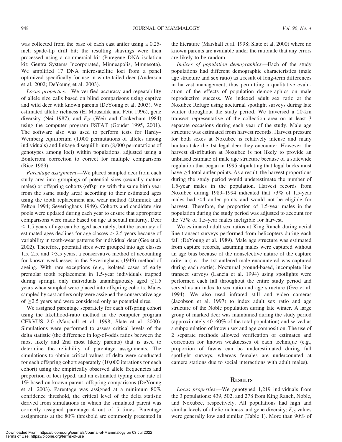was collected from the base of each cast antler using a 0.25 inch spade-tip drill bit; the resulting shavings were then processed using a commercial kit (Puregene DNA isolation kit; Gentra Systems Incorporated, Minneapolis, Minnesota). We amplified 17 DNA microsatellite loci from a panel optimized specifically for use in white-tailed deer (Anderson et al. 2002; DeYoung et al. 2003).

Locus properties.—We verified accuracy and repeatability of allele size calls based on blind comparisons using captive and wild deer with known parents (DeYoung et al. 2003). We estimated allelic richness (El Mousadik and Petit 1996), gene diversity (Nei 1987), and  $F_{IS}$  (Weir and Cockerham 1984) using the computer program FSTAT (Goudet 1995, 2001). The software also was used to perform tests for Hardy– Weinberg equilibrium (1,000 permutations of alleles among individuals) and linkage disequilibrium (8,000 permutations of genotypes among loci) within populations, adjusted using a Bonferroni correction to correct for multiple comparisons (Rice 1989).

Parentage assignment.—We placed sampled deer from each study area into groupings of potential sires (sexually mature males) or offspring cohorts (offspring with the same birth year from the same study area) according to their estimated ages using the tooth replacement and wear method (Dimmick and Pelton 1994; Severinghaus 1949). Cohorts and candidate sire pools were updated during each year to ensure that appropriate comparisons were made based on age at sexual maturity. Deer  $\leq$  1.5 years of age can be aged accurately, but the accuracy of estimated ages declines for age classes  $> 2.5$  years because of variability in tooth-wear patterns for individual deer (Gee et al. 2002). Therefore, potential sires were grouped into age classes 1.5, 2.5, and  $\geq$ 3.5 years, a conservative method of accounting for known weaknesses in the Severinghaus (1949) method of ageing. With rare exceptions (e.g., isolated cases of early premolar tooth replacement in 1.5-year individuals trapped during spring), only individuals unambiguously aged  $\leq 1.5$ years when sampled were placed into offspring cohorts. Males sampled by cast antlers only were assigned the conservative age of  $\geq$  2.5 years and were considered only as potential sires.

We assigned parentage separately for each offspring cohort using the likelihood-ratio method in the computer program CERVUS 2.0 (Marshall et al. 1998; Slate et al. 2000). Simulations were performed to assess critical levels of the delta statistic (the difference in log-of-odds ratios between the most likely and 2nd most likely parents) that is used to determine the reliability of parentage assignments. The simulations to obtain critical values of delta were conducted for each offspring cohort separately (10,000 iterations for each cohort) using the empirically observed allele frequencies and proportion of loci typed, and an estimated typing error rate of 1% based on known parent–offspring comparisons (DeYoung et al. 2003). Parentage was assigned at a minimum 80% confidence threshold, the critical level of the delta statistic derived from simulations in which the simulated parent was correctly assigned parentage 4 out of 5 times. Parentage assignments at the 80% threshold are commonly presented in the literature (Marshall et al. 1998; Slate et al. 2000) where no known parents are available under the rationale that any errors are likely to be random.

Indices of population demographics.—Each of the study populations had different demographic characteristics (male age structure and sex ratio) as a result of long-term differences in harvest management, thus permitting a qualitative evaluation of the effects of population demographics on male reproductive success. We indexed adult sex ratio at the Noxubee Refuge using nocturnal spotlight surveys during late winter throughout the study period. We traversed a 20-km transect representative of the collection area on at least 3 separate occasions during each year of the study. Male age structure was estimated from harvest records. Harvest pressure for both sexes at Noxubee is relatively intense and many hunters take the 1st legal deer they encounter. However, the harvest distribution at Noxubee is not likely to provide an unbiased estimate of male age structure because of a statewide regulation that began in 1995 stipulating that legal bucks must have  $\geq$ 4 total antler points. As a result, the harvest proportions during the study period would underestimate the number of 1.5-year males in the population. Harvest records from Noxubee during 1989–1994 indicated that 73% of 1.5-year males had <4 antler points and would not be eligible for harvest. Therefore, the proportion of 1.5-year males in the population during the study period was adjusted to account for the 73% of 1.5-year males ineligible for harvest.

We estimated adult sex ratios at King Ranch during aerial line transect surveys performed from helicopters during each fall (DeYoung et al. 1989). Male age structure was estimated from capture records, assuming males were captured without an age bias because of the nonselective nature of the capture criteria (i.e., the 1st antlered male encountered was captured during each sortie). Nocturnal ground-based, incomplete line transect surveys (Lancia et al. 1994) using spotlights were performed each fall throughout the entire study period and served as an index to sex ratio and age structure (Gee et al. 1994). We also used infrared still and video cameras (Jacobson et al. 1997) to index adult sex ratio and age structure of the Noble population during late winter. A large group of marked deer was maintained during the study period (approximately 40–60% of the total population) and served as a subpopulation of known sex and age composition. The use of 2 separate methods allowed verification of estimates and correction for known weaknesses of each technique (e.g., proportion of fawns can be underestimated during fall spotlight surveys, whereas females are undercounted at camera stations due to social interactions with adult males).

#### **RESULTS**

Locus properties.—We genotyped 1,219 individuals from the 3 populations: 439, 502, and 278 from King Ranch, Noble, and Noxubee, respectively. All populations had high and similar levels of allelic richness and gene diversity;  $F_{IS}$  values were generally low and similar (Table 1). More than 90% of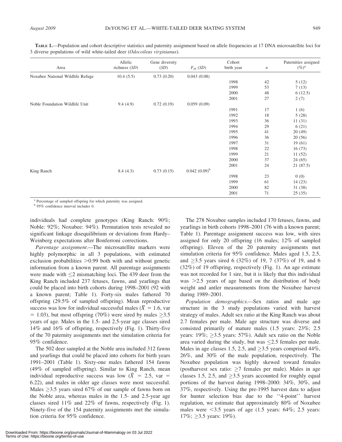| Area                             | Allelic<br>richness $(SD)$ | Gene diversity<br>(SD) | Cohort           |            |                  | Paternities assigned                   |
|----------------------------------|----------------------------|------------------------|------------------|------------|------------------|----------------------------------------|
|                                  |                            |                        | $F_{IS}$ (SD)    | birth year | $\boldsymbol{n}$ | $\left( \mathcal{V}_o \right)^{\rm a}$ |
| Noxubee National Wildlife Refuge | 10.4(5.5)                  | 0.73(0.20)             | 0.043(0.08)      |            |                  |                                        |
|                                  |                            |                        |                  | 1998       | 42               | 5(12)                                  |
|                                  |                            |                        |                  | 1999       | 53               | 7(13)                                  |
|                                  |                            |                        |                  | 2000       | 48               | 6(12.5)                                |
|                                  |                            |                        |                  | 2001       | 27               | 2(7)                                   |
| Noble Foundation Wildlife Unit   | 9.4(4.9)                   | 0.72(0.19)             | 0.059(0.09)      |            |                  |                                        |
|                                  |                            |                        |                  | 1991       | 17               | 1(6)                                   |
|                                  |                            |                        |                  | 1992       | 18               | 5(28)                                  |
|                                  |                            |                        |                  | 1993       | 36               | 11(31)                                 |
|                                  |                            |                        |                  | 1994       | 29               | 6(21)                                  |
|                                  |                            |                        |                  | 1995       | 41               | 20(49)                                 |
|                                  |                            |                        |                  | 1996       | 36               | 20(56)                                 |
|                                  |                            |                        |                  | 1997       | 31               | 19(61)                                 |
|                                  |                            |                        |                  | 1998       | 22               | 16(73)                                 |
|                                  |                            |                        |                  | 1999       | 21               | 11(52)                                 |
|                                  |                            |                        |                  | 2000       | 37               | 24(65)                                 |
|                                  |                            |                        |                  | 2001       | 24               | 21 (87.5)                              |
| King Ranch                       | 8.4(4.3)                   | 0.73(0.15)             | $0.042 (0.09)^b$ |            |                  |                                        |
|                                  |                            |                        |                  | 1998       | 23               | 0(0)                                   |
|                                  |                            |                        |                  | 1999       | 61               | 14(23)                                 |
|                                  |                            |                        |                  | 2000       | 82               | 31 (38)                                |
|                                  |                            |                        |                  | 2001       | 71               | 25(35)                                 |

TABLE 1.—Population and cohort descriptive statistics and paternity assignment based on allele frequencies at 17 DNA microsatellite loci for 3 diverse populations of wild white-tailed deer (Odocoileus virginianus).

<sup>a</sup> Percentage of sampled offspring for which paternity was assigned.

<sup>b</sup> 95% confidence interval includes 0.

individuals had complete genotypes (King Ranch: 90%; Noble: 92%; Noxubee: 94%). Permutation tests revealed no significant linkage disequilibrium or deviations from Hardy– Weinberg expectations after Bonferroni corrections.

Parentage assignment.—The microsatellite markers were highly polymorphic in all 3 populations, with estimated exclusion probabilities  $>0.99$  both with and without genetic information from a known parent. All parentage assignments were made with  $\leq$ 2 mismatching loci. The 439 deer from the King Ranch included 237 fetuses, fawns, and yearlings that could be placed into birth cohorts during 1998–2001 (92 with a known parent; Table 1). Forty-six males fathered 70 offspring (29.5% of sampled offspring). Mean reproductive on spring  $(29.5\%)$  or sampled on spring). Mean reproductive<br>success was low for individual successful males ( $\bar{X} = 1.6$ , var  $= 1.03$ ), but most offspring (70%) were sired by males  $\geq 3.5$ years of age. Males in the 1.5- and 2.5-year age classes sired 14% and 16% of offspring, respectively (Fig. 1). Thirty-five of the 70 paternity assignments met the simulation criteria for 95% confidence.

The 502 deer sampled at the Noble area included 312 fawns and yearlings that could be placed into cohorts for birth years 1991–2001 (Table 1). Sixty-one males fathered 154 fawns (49% of sampled offspring). Similar to King Ranch, mean (49% of sampled orispring). Similar to King Kanch, mean<br>individual reproductive success was low ( $\bar{X}$  = 2.5, var = 6.22), and males in older age classes were most successful. Males  $\geq$ 3.5 years sired 67% of our sample of fawns born on the Noble area, whereas males in the 1.5- and 2.5-year age classes sired 11% and 22% of fawns, respectively (Fig. 1). Ninety-five of the 154 paternity assignments met the simulation criteria for 95% confidence.

The 278 Noxubee samples included 170 fetuses, fawns, and yearlings in birth cohorts 1998–2001 (76 with a known parent; Table 1). Parentage assignment success was low, with sires assigned for only 20 offspring (16 males; 12% of sampled offspring). Eleven of the 20 paternity assignments met simulation criteria for 95% confidence. Males aged 1.5, 2.5, and  $\geq$ 3.5 years sired 6 (32%) of 19, 7 (37%) of 19, and 6 (32%) of 19 offspring, respectively (Fig. 1). An age estimate was not recorded for 1 sire, but it is likely that this individual was  $\geq$ 2.5 years of age based on the distribution of body weight and antler measurements from the Noxubee harvest during 1989–2001.

Population demographics.—Sex ratios and male age structure in the 3 study populations varied with harvest strategy of males. Adult sex ratio at the King Ranch was about 2.7 females per male. Male age structure was diverse and consisted primarily of mature males (1.5 years: 23%; 2.5 years:  $19\%$ ;  $\geq$ 3.5 years: 57%). Adult sex ratio on the Noble area varied during the study, but was  $\leq 2.5$  females per male. Males in age classes 1.5, 2.5, and  $\geq$ 3.5 years comprised 44%, 26%, and 30% of the male population, respectively. The Noxubee population was highly skewed toward females (postharvest sex ratio:  $\geq 7$  females per male). Males in age classes 1.5, 2.5, and  $\geq$ 3.5 years accounted for roughly equal portions of the harvest during 1998–2000: 34%, 30%, and 37%, respectively. Using the pre-1995 harvest data to adjust for hunter selection bias due to the ''4-point'' harvest regulation, we estimate that approximately 80% of Noxubee males were  $\leq$ 3.5 years of age (1.5 years: 64%; 2.5 years:  $17\%$ ;  $\geq$ 3.5 years: 19%).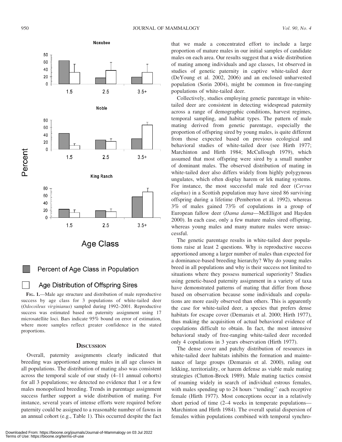Percent



# Percent of Age Class in Population

# Age Distribution of Offspring Sires

FIG. 1.—Male age structure and distribution of male reproductive success by age class for 3 populations of white-tailed deer (Odocoileus virginianus) sampled during 1992–2001. Reproductive success was estimated based on paternity assignment using 17 microsatellite loci. Bars indicate 95% bound on error of estimation, where more samples reflect greater confidence in the stated proportions.

### **DISCUSSION**

Overall, paternity assignments clearly indicated that breeding was apportioned among males in all age classes in all populations. The distribution of mating also was consistent across the temporal scale of our study (4–11 annual cohorts) for all 3 populations; we detected no evidence that 1 or a few males monopolized breeding. Trends in parentage assignment success further support a wide distribution of mating. For instance, several years of intense efforts were required before paternity could be assigned to a reasonable number of fawns in an annual cohort (e.g., Table 1). This occurred despite the fact that we made a concentrated effort to include a large proportion of mature males in our initial samples of candidate males on each area. Our results suggest that a wide distribution of mating among individuals and age classes, 1st observed in studies of genetic paternity in captive white-tailed deer (DeYoung et al. 2002, 2006) and an enclosed unharvested population (Sorin 2004), might be common in free-ranging populations of white-tailed deer.

Collectively, studies employing genetic parentage in whitetailed deer are consistent in detecting widespread paternity across a range of demographic conditions, harvest regimes, temporal sampling, and habitat types. The pattern of male mating derived from genetic parentage, especially the proportion of offspring sired by young males, is quite different from those expected based on previous ecological and behavioral studies of white-tailed deer (see Hirth 1977; Marchinton and Hirth 1984; McCullough 1979), which assumed that most offspring were sired by a small number of dominant males. The observed distribution of mating in white-tailed deer also differs widely from highly polygynous ungulates, which often display harem or lek mating systems. For instance, the most successful male red deer (Cervus elaphus) in a Scottish population may have sired 86 surviving offspring during a lifetime (Pemberton et al. 1992), whereas 3% of males gained 73% of copulations in a group of European fallow deer (Dama dama—McElligot and Hayden 2000). In each case, only a few mature males sired offspring, whereas young males and many mature males were unsuccessful.

The genetic parentage results in white-tailed deer populations raise at least 2 questions. Why is reproductive success apportioned among a larger number of males than expected for a dominance-based breeding hierarchy? Why do young males breed in all populations and why is their success not limited to situations where they possess numerical superiority? Studies using genetic-based paternity assignment in a variety of taxa have demonstrated patterns of mating that differ from those based on observation because some individuals and copulations are more easily observed than others. This is apparently the case for white-tailed deer, a species that prefers dense habitats for escape cover (Demarais et al. 2000; Hirth 1977), thus making the acquisition of actual behavioral evidence of copulations difficult to obtain. In fact, the most intensive behavioral study of free-ranging white-tailed deer recorded only 4 copulations in 3 years observation (Hirth 1977).

The dense cover and patchy distribution of resources in white-tailed deer habitats inhibits the formation and maintenance of large groups (Demarais et al. 2000), ruling out lekking, territoriality, or harem defense as viable male mating strategies (Clutton-Brock 1989). Male mating tactics consist of roaming widely in search of individual estrous females, with males spending up to 24 hours ''tending'' each receptive female (Hirth 1977). Most conceptions occur in a relatively short period of time (2–4 weeks in temperate populations— Marchinton and Hirth 1984). The overall spatial dispersion of females within populations combined with temporal synchro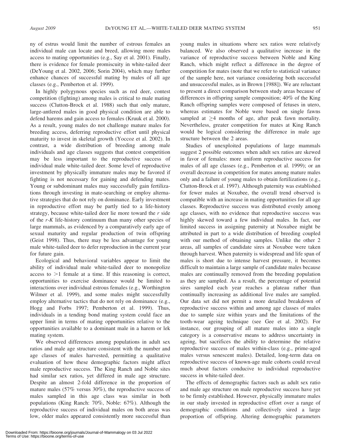ny of estrus would limit the number of estrous females an individual male can locate and breed, allowing more males access to mating opportunities (e.g., Say et al. 2001). Finally, there is evidence for female promiscuity in white-tailed deer (DeYoung et al. 2002, 2006; Sorin 2004), which may further enhance chances of successful mating by males of all age classes (e.g., Pemberton et al. 1999).

In highly polygynous species such as red deer, contest competition (fighting) among males is critical to male mating success (Clutton-Brock et al. 1988) such that only mature, large-antlered males in good physical condition are able to defend harems and gain access to females (Kruuk et al. 2000). As a result, young males do not challenge mature males for breeding access, deferring reproductive effort until physical maturity to invest in skeletal growth (Yoccoz et al. 2002). In contrast, a wide distribution of breeding among male individuals and age classes suggests that contest competition may be less important to the reproductive success of individual male white-tailed deer. Some level of reproductive investment by physically immature males may be favored if fighting is not necessary for gaining and defending mates. Young or subdominant males may successfully gain fertilizations through investing in mate-searching or employ alternative strategies that do not rely on dominance. Early investment in reproductive effort may be partly tied to a life-history strategy, because white-tailed deer lie more toward the  $r$  side of the r-K life-history continuum than many other species of large mammals, as evidenced by a comparatively early age of sexual maturity and regular production of twin offspring (Geist 1998). Thus, there may be less advantage for young male white-tailed deer to defer reproduction in the current year for future gain.

Ecological and behavioral variables appear to limit the ability of individual male white-tailed deer to monopolize access to  $>1$  female at a time. If this reasoning is correct, opportunities to exercise dominance would be limited to interactions over individual estrous females (e.g., Worthington Wilmer et al. 1999), and some males might successfully employ alternative tactics that do not rely on dominance (e.g., Hogg and Forbs 1997; Pemberton et al. 1999). Thus, individuals in a tending bond mating system could face an upper limit in terms of mating opportunities relative to the opportunities available to a dominant male in a harem or lek mating system.

We observed differences among populations in adult sex ratios and male age structure consistent with the number and age classes of males harvested, permitting a qualitative evaluation of how these demographic factors might affect male reproductive success. The King Ranch and Noble sites had similar sex ratios, yet differed in male age structure. Despite an almost 2-fold difference in the proportion of mature males (57% versus 30%), the reproductive success of males sampled in this age class was similar in both populations (King Ranch: 70%, Noble: 67%). Although the reproductive success of individual males on both areas was low, older males appeared consistently more successful than young males in situations where sex ratios were relatively balanced. We also observed a qualitative increase in the variance of reproductive success between Noble and King Ranch, which might reflect a difference in the degree of competition for mates (note that we refer to statistical variance of the sample here, not variance considering both successful and unsuccessful males, as in Brown [1988]). We are reluctant to present a direct comparison between study areas because of differences in offspring sample composition; 40% of the King Ranch offspring samples were composed of fetuses in utero, whereas estimates for Noble were based on single fawns sampled at  $\geq$ 4 months of age, after peak fawn mortality. Nevertheless, greater competition for mates at King Ranch would be logical considering the difference in male age structure between the 2 areas.

Studies of unexploited populations of large mammals suggest 2 possible outcomes when adult sex ratios are skewed in favor of females: more uniform reproductive success for males of all age classes (e.g., Pemberton et al. 1999); or an overall decrease in competition for mates among mature males only and a failure of young males to obtain fertilizations (e.g., Clutton-Brock et al. 1997). Although paternity was established for fewer males at Noxubee, the overall trend observed is compatible with an increase in mating opportunities for all age classes. Reproductive success was distributed evenly among age classes, with no evidence that reproductive success was highly skewed toward a few individual males. In fact, our limited success in assigning paternity at Noxubee might be attributed in part to a wide distribution of breeding coupled with our method of obtaining samples. Unlike the other 2 areas, all samples of candidate sires at Noxubee were taken through harvest. When paternity is widespread and life span of males is short due to intense harvest pressure, it becomes difficult to maintain a large sample of candidate males because males are continually removed from the breeding population as they are sampled. As a result, the percentage of potential sires sampled each year reaches a plateau rather than continually increasing as additional live males are sampled. Our data set did not permit a more detailed breakdown of reproductive success within and among age classes of males due to sample size within years and the limitations of the tooth-wear ageing technique (see Gee et al. 2002). For instance, our grouping of all mature males into a single category is a conservative means to address uncertainty in ageing, but sacrifices the ability to determine the relative reproductive success of males within-class (e.g., prime-aged males versus senescent males). Detailed, long-term data on reproductive success of known-age male cohorts could reveal much about factors conducive to individual reproductive success in white-tailed deer.

The effects of demographic factors such as adult sex ratio and male age structure on male reproductive success have yet to be firmly established. However, physically immature males in our study invested in reproductive effort over a range of demographic conditions and collectively sired a large proportion of offspring. Altering demographic parameters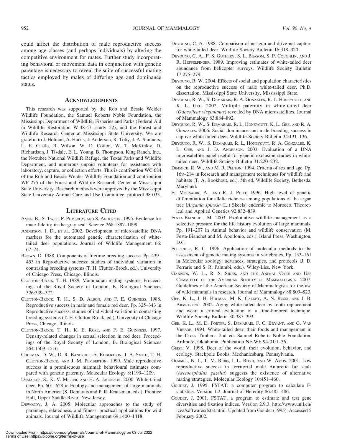could affect the distribution of male reproductive success among age classes (and perhaps individuals) by altering the competitive environment for mates. Further study incorporating behavioral or movement data in conjunction with genetic parentage is necessary to reveal the suite of successful mating tactics employed by males of differing age and dominance status.

#### ACKNOWLEDGMENTS

This research was supported by the Rob and Bessie Welder Wildlife Foundation, the Samuel Roberts Noble Foundation, the Mississippi Department of Wildlife, Fisheries and Parks (Federal Aid in Wildlife Restoration W-48-47, study 52), and the Forest and Wildlife Research Center at Mississippi State University. We are grateful to J. Holman, A. Harris, J. Anderson, R. Toby, J. A. Sumners, L. E. Castle, B. Wilson, W. D. Cotton, W. T. McKinley, D. Richardson, J. Tisdale, E. L. Young, B. Thompson, King Ranch, Inc., the Noxubee National Wildlife Refuge, the Texas Parks and Wildlife Department, and numerous unpaid volunteers for assistance with laboratory, capture, or collection efforts. This is contribution WC 684 of the Rob and Bessie Welder Wildlife Foundation and contribution WF 275 of the Forest and Wildlife Research Center at Mississippi State University. Research methods were approved by the Mississippi State University Animal Care and Use Committee, protocol 98-033.

## LITERATURE CITED

- AMOS, B., S. TWISS, P. POMEROY, AND S. ANDERSON. 1995. Evidence for mate fidelity in the gray seal. Science 268:1897–1899.
- ANDERSON, J. D., ET AL. 2002. Development of microsatellite DNA markers for the automated genetic characterization of whitetailed deer populations. Journal of Wildlife Management 66: 67–74.
- BROWN, D. 1988. Components of lifetime breeding success. Pp. 439– 453 in Reproductive success: studies of individual variation in contrasting breeding systems (T. H. Clutton-Brock, ed.). University of Chicago Press, Chicago, Illinois.
- CLUTTON-BROCK, T. H. 1989. Mammalian mating systems. Proceedings of the Royal Society of London, B. Biological Sciences 326:339–372.
- CLUTTON-BROCK, T. H., S. D. ALBON, AND F. E. GUINNESS. 1988. Reproductive success in male and female red deer. Pp. 325–343 in Reproductive success: studies of individual variation in contrasting breeding systems (T. H. Clutton-Brock, ed.). University of Chicago Press, Chicago, Illinois.
- CLUTTON-BROCK, T. H., K. E. ROSE, AND F. E. GUINNESS. 1997. Density-related changes in sexual selection in red deer. Proceedings of the Royal Society of London, B. Biological Sciences 264:1509–1516.
- COLTMAN, D. W., D. R. BANCROFT, A. ROBERTSON, J. A. SMITH, T. H. CLUTTON-BROCK, AND J. M. PEMBERTON. 1999. Male reproductive success in a promiscuous mammal: behavioural estimates compared with genetic paternity. Molecular Ecology 8:1199–1209.
- DEMARAIS, S., K. V. MILLER, AND H. A. JACOBSON. 2000. White-tailed deer. Pp. 601–628 in Ecology and management of large mammals in North America (S. Demarais and P. R. Krausman, eds.). Prentice Hall, Upper Saddle River, New Jersey.
- DEWOODY, J. A. 2005. Molecular approaches to the study of parentage, relatedness, and fitness: practical applications for wild animals. Journal of Wildlife Management 69:1400–1418.
- DEYOUNG, C. A. 1988. Comparison of net-gun and drive-net capture for white-tailed deer. Wildlife Society Bulletin 16:318–320.
- DEYOUNG, C. A., F. S. GUTHERY, S. L. BEASOM, S. P. COUGHLIN, AND J. R. HEFFELFINGER. 1989. Improving estimates of white-tailed deer abundance from helicopter surveys. Wildlife Society Bulletin 17:275–279.
- DEYOUNG, R. W. 2004. Effects of social and population characteristics on the reproductive success of male white-tailed deer. Ph.D. dissertation, Mississippi State University, Mississippi State.
- DEYOUNG, R. W., S. DEMARAIS, R. A. GONZALES, R. L. HONEYCUTT, AND K. L. GEE. 2002. Multiple paternity in white-tailed deer (Odocoileus virginianus) revealed by DNA microsatellites. Journal of Mammalogy 83:884–892.
- DEYOUNG, R. W., S. DEMARAIS, R. L. HONEYCUTT, K. L. GEE, AND R. A. GONZALES. 2006. Social dominance and male breeding success in captive white-tailed deer. Wildlife Society Bulletin 34:131–136.
- DEYOUNG, R. W., S. DEMARAIS, R. L. HONEYCUTT, R. A. GONZALES, K. L. GEE, AND J. D. ANDERSON. 2003. Evaluation of a DNA microsatellite panel useful for genetic exclusion studies in whitetailed deer. Wildlife Society Bulletin 31:220–232.
- DIMMICK, R. W., AND M. R. PELTON. 1994. Criteria of sex and age. Pp. 169–214 in Research and management techniques for wildlife and habitats (T. A. Bookhout, ed.). 5th ed. Wildlife Society, Bethesda, Maryland.
- EL MOUSADIK, A., AND R. J. PETIT. 1996. High level of genetic differentiation for allelic richness among populations of the argan tree [Argania spinosa (L.) Skeels] endemic to Morocco. Theoretical and Applied Genetics 92:832–839.
- FESTA-BIANCHET, M. 2003. Exploitative wildlife management as a selective pressure for the life history evolution of large mammals. Pp. 191–207 in Animal behavior and wildlife conservation (M. Festa-Bianchet and M. Apollonio, eds.). Island Press, Washington, D.C.
- FLEISCHER, R. C. 1996. Application of molecular methods to the assessment of genetic mating systems in vertebrates. Pp. 133–161 in Molecular zoology: advances, strategies, and protocols (J. D. Ferraris and S. R. Palumbi, eds.). Wiley-Liss, New York.
- GANNON, W. L., R. S. SIKES, AND THE ANIMAL CARE AND USE COMMITTEE OF THE AMERICAN SOCIETY OF MAMMALOGISTS. 2007. Guidelines of the American Society of Mammalogists for the use of wild mammals in research. Journal of Mammalogy 88:809–823.
- GEE, K. L., J. H. HOLMAN, M. K. CAUSEY, A. N. ROSSI, AND J. B. ARMSTRONG. 2002. Aging white-tailed deer by tooth replacement and wear: a critical evaluation of a time-honored technique. Wildlife Society Bulletin 30:387–393.
- GEE, K. L., M. D. PORTER, S. DEMARAIS, F. C. BRYANT, AND G. VAN VREEDE. 1994. White-tailed deer: their foods and management in the Cross Timbers. 2nd ed. Samuel Roberts Noble Foundation, Ardmore, Oklahoma, Publication NF-WF-94-01:1–36.
- GEIST, V. 1998. Deer of the world: their evolution, behavior, and ecology. Stackpole Books, Mechanicsburg, Pennsylvania.
- GEMMEL, N. J., T. M. BURG, I. L. BOYD, AND W. AMOS. 2001. Low reproductive success in territorial male Antarctic fur seals (Arctocephalus gazella) suggests the existence of alternative mating strategies. Molecular Ecology 10:451–460.
- GOUDET, J. 1995. FSTAT: a computer program to calculate Fstatistics. Version 1.2. Journal of Heredity 86:485–486.
- GOUDET, J. 2001. FSTAT, a program to estimate and test gene diversities and fixation indices. Version 2.9.3. http://www.unil.ch/ izea/softwares/fstat.html. Updated from Goudet (1995). Accessed 5 February 2002.